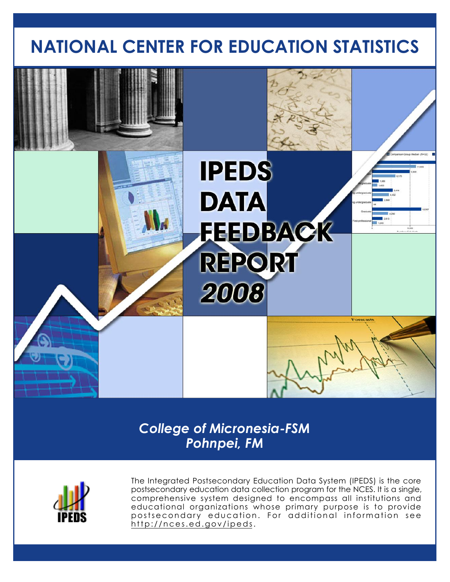# **NATIONAL CENTER FOR EDUCATION STATISTICS**



*College of Micronesia-FSM Pohnpei, FM*



The Integrated Postsecondary Education Data System (IPEDS) is the core postsecondary education data collection program for the NCES. It is a single, comprehensive system designed to encompass all institutions and educational organizations whose primary purpose is to provide postsecondary education. For additional information see http://nces.ed.gov/ipeds.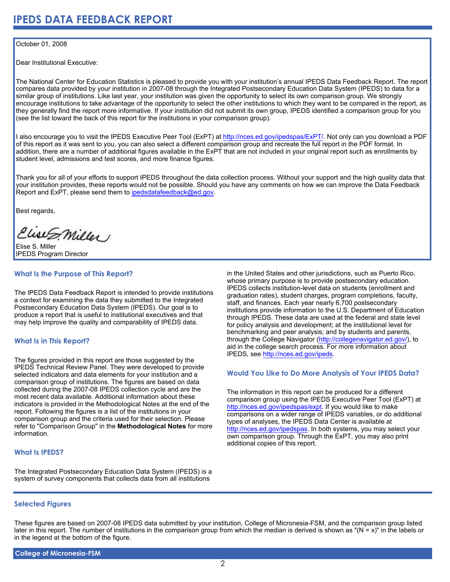### October 01, 2008

Dear Institutional Executive:

The National Center for Education Statistics is pleased to provide you with your institution's annual IPEDS Data Feedback Report. The report compares data provided by your institution in 2007-08 through the Integrated Postsecondary Education Data System (IPEDS) to data for a similar group of institutions. Like last year, your institution was given the opportunity to select its own comparison group. We strongly encourage institutions to take advantage of the opportunity to select the other institutions to which they want to be compared in the report, as they generally find the report more informative. If your institution did not submit its own group, IPEDS identified a comparison group for you (see the list toward the back of this report for the institutions in your comparison group).

I also encourage you to visit the IPEDS Executive Peer Tool (ExPT) at [http://nces.ed.gov/ipedspas/ExPT/](http://nces.ed.gov/ipedspas/expt/). Not only can you download a PDF of this report as it was sent to you, you can also select a different comparison group and recreate the full report in the PDF format. In addition, there are a number of additional figures available in the ExPT that are not included in your original report such as enrollments by student level, admissions and test scores, and more finance figures.

Thank you for all of your efforts to support IPEDS throughout the data collection process. Without your support and the high quality data that your institution provides, these reports would not be possible. Should you have any comments on how we can improve the Data Feedback Report and ExPT, please send them to ipedsdatafeedback@ed.gov.

Best regards,

Elise S. Miller

Elise S. Miller IPEDS Program Director

# **What Is the Purpose of This Report?**

The IPEDS Data Feedback Report is intended to provide institutions a context for examining the data they submitted to the Integrated Postsecondary Education Data System (IPEDS). Our goal is to produce a report that is useful to institutional executives and that may help improve the quality and comparability of IPEDS data.

# **What Is in This Report?**

The figures provided in this report are those suggested by the IPEDS Technical Review Panel. They were developed to provide selected indicators and data elements for your institution and a comparison group of institutions. The figures are based on data collected during the 2007-08 IPEDS collection cycle and are the most recent data available. Additional information about these indicators is provided in the Methodological Notes at the end of the report. Following the figures is a list of the institutions in your comparison group and the criteria used for their selection. Please refer to "Comparison Group" in the **Methodological Notes** for more information.

# **What Is IPEDS?**

The Integrated Postsecondary Education Data System (IPEDS) is a system of survey components that collects data from all institutions

in the United States and other jurisdictions, such as Puerto Rico, whose primary purpose is to provide postsecondary education. IPEDS collects institution-level data on students (enrollment and graduation rates), student charges, program completions, faculty, staff, and finances. Each year nearly 6,700 postsecondary institutions provide information to the U.S. Department of Education through IPEDS. These data are used at the federal and state level for policy analysis and development; at the institutional level for benchmarking and peer analysis; and by students and parents, through the College Navigator ([http://collegenavigator.ed.gov/\)](http://collegenavigator.ed.gov), to aid in the college search process. For more information about IPEDS, see [http://nces.ed.gov/ipeds.](http://nces.ed.gov/ipeds)

### **Would You Like to Do More Analysis of Your IPEDS Data?**

The information in this report can be produced for a different comparison group using the IPEDS Executive Peer Tool (ExPT) at [http://nces.ed.gov/ipedspas/expt.](http://nces.ed.gov/ipedspas/expt) If you would like to make comparisons on a wider range of IPEDS variables, or do additional types of analyses, the IPEDS Data Center is available at <http://nces.ed.gov/ipedspas>. In both systems, you may select your own comparison group. Through the ExPT, you may also print additional copies of this report.

# **Selected Figures**

These figures are based on 2007-08 IPEDS data submitted by your institution, College of Micronesia-FSM, and the comparison group listed later in this report. The number of institutions in the comparison group from which the median is derived is shown as "(N = x)" in the labels or in the legend at the bottom of the figure.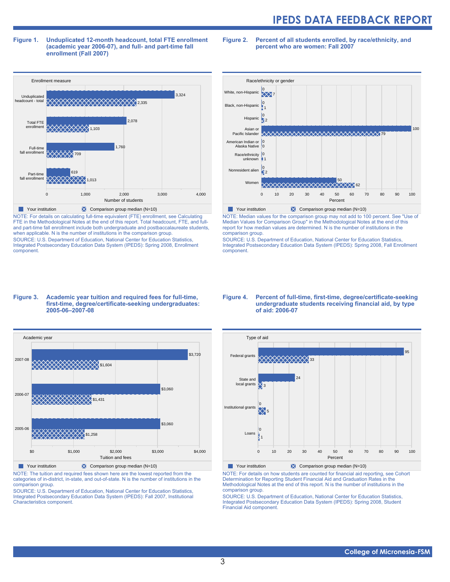#### **Figure 1. Unduplicated 12-month headcount, total FTE enrollment (academic year 2006-07), and full- and part-time fall enrollment (Fall 2007)**

**Figure 2. Percent of all students enrolled, by race/ethnicity, and percent who are women: Fall 2007**



NOTE: For details on calculating full-time equivalent (FTE) enrollment, see Calculating FTE in the Methodological Notes at the end of this report. Total headcount, FTE, and fulland part-time fall enrollment include both undergraduate and postbaccalaureate students, when applicable. N is the number of institutions in the comparison group. SOURCE: U.S. Department of Education, National Center for Education Statistics, Integrated Postsecondary Education Data System (IPEDS): Spring 2008, Enrollment component.





Your institution  $\times$  Comparison group median (N=10)

NOTE: The tuition and required fees shown here are the lowest reported from the categories of in-district, in-state, and out-of-state. N is the number of institutions in the comparison group.

SOURCE: U.S. Department of Education, National Center for Education Statistics, Integrated Postsecondary Education Data System (IPEDS): Fall 2007, Institutional Characteristics component.



NOTE: Median values for the comparison group may not add to 100 percent. See "Use of Median Values for Comparison Group" in the Methodological Notes at the end of this report for how median values are determined. N is the number of institutions in the comparison group.

SOURCE: U.S. Department of Education, National Center for Education Statistics, Integrated Postsecondary Education Data System (IPEDS): Spring 2008, Fall Enrollment component.

#### **Figure 4. Percent of full-time, first-time, degree/certificate-seeking undergraduate students receiving financial aid, by type of aid: 2006-07**



Your institution  $\blacktriangleright$  Comparison group median (N=10)

NOTE: For details on how students are counted for financial aid reporting, see Cohort Determination for Reporting Student Financial Aid and Graduation Rates in the Methodological Notes at the end of this report. N is the number of institutions in the comparison group.

SOURCE: U.S. Department of Education, National Center for Education Statistics, Integrated Postsecondary Education Data System (IPEDS): Spring 2008, Student Financial Aid component.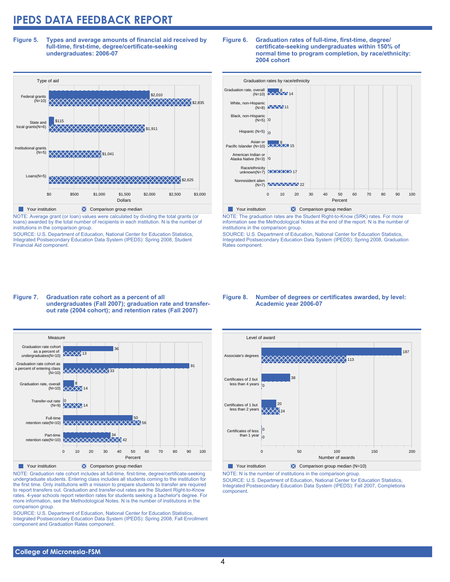**Figure 5. Types and average amounts of financial aid received by full-time, first-time, degree/certificate-seeking undergraduates: 2006-07**



NOTE: Average grant (or loan) values were calculated by dividing the total grants (or loans) awarded by the total number of recipients in each institution. N is the number of institutions in the comparison group.

SOURCE: U.S. Department of Education, National Center for Education Statistics, Integrated Postsecondary Education Data System (IPEDS): Spring 2008, Student Financial Aid component.

#### **Figure 6. Graduation rates of full-time, first-time, degree/ certificate-seeking undergraduates within 150% of normal time to program completion, by race/ethnicity: 2004 cohort**

| Graduation rates by race/ethnicity                           |                                              |    |    |    |    |               |    |    |    |    |     |
|--------------------------------------------------------------|----------------------------------------------|----|----|----|----|---------------|----|----|----|----|-----|
| Graduation rate, overall<br>overall<br>(N=10) <b>XXXX</b> 14 |                                              |    |    |    |    |               |    |    |    |    |     |
| White, non-Hispanic                                          | $(N=8)$ $\left(\frac{\sqrt{2}}{2}\right)$ 11 |    |    |    |    |               |    |    |    |    |     |
| Black, non-Hispanic<br>$(N=5)$ 0                             |                                              |    |    |    |    |               |    |    |    |    |     |
| Hispanic (N=5) $n_0$                                         |                                              |    |    |    |    |               |    |    |    |    |     |
| Asian or<br>Pacific Islander (N=10) XXXXX 15                 |                                              |    |    |    |    |               |    |    |    |    |     |
| American Indian or<br>Alaska Native (N=3) 10                 |                                              |    |    |    |    |               |    |    |    |    |     |
| Race/ethnicity<br>unknown(N=7) $\overline{\text{XXX}}$ 17    |                                              |    |    |    |    |               |    |    |    |    |     |
| Nonresident alien                                            | (N=7) XXXXXXX 22                             |    |    |    |    |               |    |    |    |    |     |
|                                                              | $\Omega$                                     | 10 | 20 | 30 | 40 | 50<br>Percent | 60 | 70 | 80 | 90 | 100 |

NOTE: The graduation rates are the Student Right-to-Know (SRK) rates. For more information see the Methodological Notes at the end of the report. N is the number of institutions in the comparison group.

SOURCE: U.S. Department of Education, National Center for Education Statistics, Integrated Postsecondary Education Data System (IPEDS): Spring 2008, Graduation Rates component.

#### **Figure 7. Graduation rate cohort as a percent of all undergraduates (Fall 2007); graduation rate and transferout rate (2004 cohort); and retention rates (Fall 2007)**



NOTE: Graduation rate cohort includes all full-time, first-time, degree/certificate-seeking undergraduate students. Entering class includes all students coming to the institution for the first time. Only institutions with a mission to prepare students to transfer are required to report transfers out. Graduation and transfer-out rates are the Student Right-to-Know rates. 4-year schools report retention rates for students seeking a bachelor's degree. For more information, see the Methodological Notes. N is the number of institutions in the comparison group.

SOURCE: U.S. Department of Education, National Center for Education Statistics, Integrated Postsecondary Education Data System (IPEDS): Spring 2008, Fall Enrollment component and Graduation Rates component.

#### **Figure 8. Number of degrees or certificates awarded, by level: Academic year 2006-07**



NOTE: N is the number of institutions in the comparison group.

SOURCE: U.S. Department of Education, National Center for Education Statistics, Integrated Postsecondary Education Data System (IPEDS): Fall 2007, Completions component.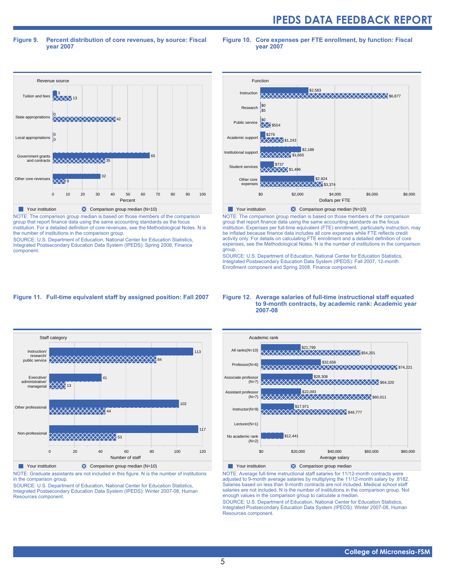#### **Figure 9. Percent distribution of core revenues, by source: Fiscal year 2007**

**Figure 10. Core expenses per FTE enrollment, by function: Fiscal year 2007**



NOTE: The comparison group median is based on those members of the comparison group that report finance data using the same accounting standards as the focus institution. For a detailed definition of core revenues, see the Methodological Notes. N is the number of institutions in the comparison group.

SOURCE: U.S. Department of Education, National Center for Education Statistics, Integrated Postsecondary Education Data System (IPEDS): Spring 2008, Finance component.



NOTE: The comparison group median is based on those members of the comparison group that report finance data using the same accounting standards as the focus institution. Expenses per full-time equivalent (FTE) enrollment, particularly instruction, may be inflated because finance data includes all core expenses while FTE reflects credit activity only. For details on calculating FTE enrollment and a detailed definition of core expenses, see the Methodological Notes. N is the number of institutions in the comparison group.

SOURCE: U.S. Department of Education, National Center for Education Statistics, Integrated Postsecondary Education Data System (IPEDS): Fall 2007, 12-month Enrollment component and Spring 2008, Finance component.

### **Figure 11. Full-time equivalent staff by assigned position: Fall 2007**



Your institution **X** Comparison group median (N=10) NOTE: Graduate assistants are not included in this figure. N is the number of institutions

in the comparison group. SOURCE: U.S. Department of Education, National Center for Education Statistics,

Integrated Postsecondary Education Data System (IPEDS): Winter 2007-08, Human Resources component.

#### **Figure 12. Average salaries of full-time instructional staff equated to 9-month contracts, by academic rank: Academic year 2007-08**



NOTE: Average full-time instructional staff salaries for 11/12-month contracts were adjusted to 9-month average salaries by multiplying the 11/12-month salary by .8182. Salaries based on less than 9-month contracts are not included. Medical school staff salaries are not included. N is the number of institutions in the comparison group. Not enough values in the comparison group to calculate a median.

SOURCE: U.S. Department of Education, National Center for Education Statistics, Integrated Postsecondary Education Data System (IPEDS): Winter 2007-08, Human Resources component.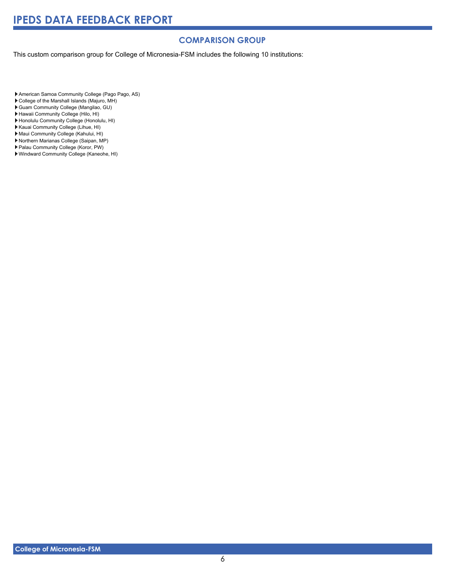# **COMPARISON GROUP**

This custom comparison group for College of Micronesia-FSM includes the following 10 institutions:

American Samoa Community College (Pago Pago, AS)

- College of the Marshall Islands (Majuro, MH)
- Guam Community College (Mangilao, GU)
- Hawaii Community College (Hilo, HI)
- Honolulu Community College (Honolulu, HI)
- Kauai Community College (Lihue, HI)
- Maui Community College (Kahului, HI)
- Northern Marianas College (Saipan, MP)
- Palau Community College (Koror, PW)
- Windward Community College (Kaneohe, HI)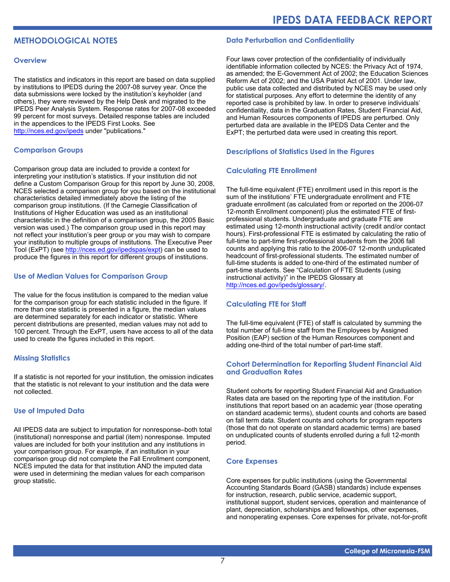# **METHODOLOGICAL NOTES**

#### **Overview**

The statistics and indicators in this report are based on data supplied by institutions to IPEDS during the 2007-08 survey year. Once the data submissions were locked by the institution's keyholder (and others), they were reviewed by the Help Desk and migrated to the IPEDS Peer Analysis System. Response rates for 2007-08 exceeded 99 percent for most surveys. Detailed response tables are included in the appendices to the IPEDS First Looks. See <http://nces.ed.gov/ipeds>under "publications."

### **Comparison Groups**

Comparison group data are included to provide a context for interpreting your institution's statistics. If your institution did not define a Custom Comparison Group for this report by June 30, 2008, NCES selected a comparison group for you based on the institutional characteristics detailed immediately above the listing of the comparison group institutions. (If the Carnegie Classification of Institutions of Higher Education was used as an institutional characteristic in the definition of a comparison group, the 2005 Basic version was used.) The comparison group used in this report may not reflect your institution's peer group or you may wish to compare your institution to multiple groups of institutions. The Executive Peer Tool (ExPT) (see<http://nces.ed.gov/ipedspas/expt>) can be used to produce the figures in this report for different groups of institutions.

# **Use of Median Values for Comparison Group**

The value for the focus institution is compared to the median value for the comparison group for each statistic included in the figure. If more than one statistic is presented in a figure, the median values are determined separately for each indicator or statistic. Where percent distributions are presented, median values may not add to 100 percent. Through the ExPT, users have access to all of the data used to create the figures included in this report.

### **Missing Statistics**

If a statistic is not reported for your institution, the omission indicates that the statistic is not relevant to your institution and the data were not collected.

### **Use of Imputed Data**

All IPEDS data are subject to imputation for nonresponse–both total (institutional) nonresponse and partial (item) nonresponse. Imputed values are included for both your institution and any institutions in your comparison group. For example, if an institution in your comparison group did not complete the Fall Enrollment component, NCES imputed the data for that institution AND the imputed data were used in determining the median values for each comparison group statistic.

### **Data Perturbation and Confidentiality**

Four laws cover protection of the confidentiality of individually identifiable information collected by NCES: the Privacy Act of 1974, as amended; the E-Government Act of 2002; the Education Sciences Reform Act of 2002; and the USA Patriot Act of 2001. Under law, public use data collected and distributed by NCES may be used only for statistical purposes. Any effort to determine the identity of any reported case is prohibited by law. In order to preserve individuals' confidentiality, data in the Graduation Rates, Student Financial Aid, and Human Resources components of IPEDS are perturbed. Only perturbed data are available in the IPEDS Data Center and the ExPT; the perturbed data were used in creating this report.

# **Descriptions of Statistics Used in the Figures**

# **Calculating FTE Enrollment**

The full-time equivalent (FTE) enrollment used in this report is the sum of the institutions' FTE undergraduate enrollment and FTE graduate enrollment (as calculated from or reported on the 2006-07 12-month Enrollment component) plus the estimated FTE of firstprofessional students. Undergraduate and graduate FTE are estimated using 12-month instructional activity (credit and/or contact hours). First-professional FTE is estimated by calculating the ratio of full-time to part-time first-professional students from the 2006 fall counts and applying this ratio to the 2006-07 12-month unduplicated headcount of first-professional students. The estimated number of full-time students is added to one-third of the estimated number of part-time students. See "Calculation of FTE Students (using instructional activity)" in the IPEDS Glossary at [http://nces.ed.gov/ipeds/glossary/.](http://nces.ed.gov/ipeds/glossary/)

### **Calculating FTE for Staff**

The full-time equivalent (FTE) of staff is calculated by summing the total number of full-time staff from the Employees by Assigned Position (EAP) section of the Human Resources component and adding one-third of the total number of part-time staff.

# **Cohort Determination for Reporting Student Financial Aid and Graduation Rates**

Student cohorts for reporting Student Financial Aid and Graduation Rates data are based on the reporting type of the institution. For institutions that report based on an academic year (those operating on standard academic terms), student counts and cohorts are based on fall term data. Student counts and cohorts for program reporters (those that do not operate on standard academic terms) are based on unduplicated counts of students enrolled during a full 12-month period.

### **Core Expenses**

Core expenses for public institutions (using the Governmental Accounting Standards Board (GASB) standards) include expenses for instruction, research, public service, academic support, institutional support, student services, operation and maintenance of plant, depreciation, scholarships and fellowships, other expenses, and nonoperating expenses. Core expenses for private, not-for-profit